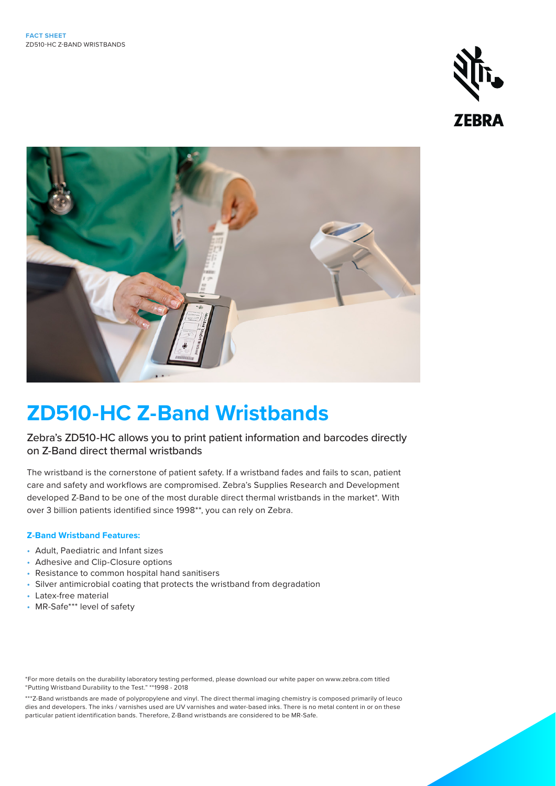



# **ZD510-HC Z-Band Wristbands**

### Zebra's ZD510-HC allows you to print patient information and barcodes directly on Z-Band direct thermal wristbands

The wristband is the cornerstone of patient safety. If a wristband fades and fails to scan, patient care and safety and workflows are compromised. Zebra's Supplies Research and Development developed Z-Band to be one of the most durable direct thermal wristbands in the market\*. With over 3 billion patients identified since 1998\*\*, you can rely on Zebra.

#### **Z-Band Wristband Features:**

- Adult, Paediatric and Infant sizes
- Adhesive and Clip-Closure options
- Resistance to common hospital hand sanitisers
- Silver antimicrobial coating that protects the wristband from degradation
- Latex-free material
- MR-Safe\*\*\* level of safety

<sup>\*</sup>For more details on the durability laboratory testing performed, please download our white paper on www.zebra.com titled "Putting Wristband Durability to the Test." \*\*1998 - 2018

<sup>\*\*\*</sup>Z-Band wristbands are made of polypropylene and vinyl. The direct thermal imaging chemistry is composed primarily of leuco dies and developers. The inks / varnishes used are UV varnishes and water-based inks. There is no metal content in or on these particular patient identification bands. Therefore, Z-Band wristbands are considered to be MR-Safe.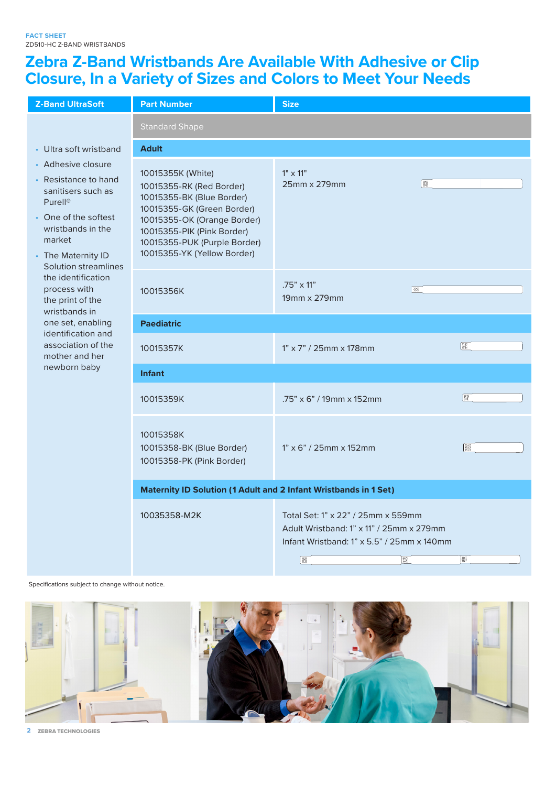## **Zebra Z-Band Wristbands Are Available With Adhesive or Clip Closure, In a Variety of Sizes and Colors to Meet Your Needs**

| <b>Z-Band UltraSoft</b>                                                                                                                                                                                                                                                 | <b>Part Number</b>                                                                                                                                                                                                                   | <b>Size</b>                                                                                                                            |           |  |
|-------------------------------------------------------------------------------------------------------------------------------------------------------------------------------------------------------------------------------------------------------------------------|--------------------------------------------------------------------------------------------------------------------------------------------------------------------------------------------------------------------------------------|----------------------------------------------------------------------------------------------------------------------------------------|-----------|--|
|                                                                                                                                                                                                                                                                         | <b>Standard Shape</b>                                                                                                                                                                                                                |                                                                                                                                        |           |  |
| • Ultra soft wristband                                                                                                                                                                                                                                                  | <b>Adult</b>                                                                                                                                                                                                                         |                                                                                                                                        |           |  |
| • Adhesive closure<br>Resistance to hand<br>sanitisers such as<br><b>Purell®</b><br>• One of the softest<br>wristbands in the<br>market<br>• The Maternity ID<br><b>Solution streamlines</b><br>the identification<br>process with<br>the print of the<br>wristbands in | 10015355K (White)<br>10015355-RK (Red Border)<br>10015355-BK (Blue Border)<br>10015355-GK (Green Border)<br>10015355-OK (Orange Border)<br>10015355-PIK (Pink Border)<br>10015355-PUK (Purple Border)<br>10015355-YK (Yellow Border) | $1" \times 11"$<br>▒<br>25mm x 279mm                                                                                                   |           |  |
|                                                                                                                                                                                                                                                                         | 10015356K                                                                                                                                                                                                                            | $.75" \times 11"$<br>溪<br>19mm x 279mm                                                                                                 |           |  |
| one set, enabling                                                                                                                                                                                                                                                       | <b>Paediatric</b>                                                                                                                                                                                                                    |                                                                                                                                        |           |  |
| identification and<br>association of the<br>mother and her<br>newborn baby                                                                                                                                                                                              | 10015357K                                                                                                                                                                                                                            | $1" \times 7" / 25$ mm $\times$ 178mm                                                                                                  | 罷         |  |
|                                                                                                                                                                                                                                                                         | <b>Infant</b>                                                                                                                                                                                                                        |                                                                                                                                        |           |  |
|                                                                                                                                                                                                                                                                         | 10015359K                                                                                                                                                                                                                            | $.75" \times 6" / 19$ mm x 152mm                                                                                                       | 翻         |  |
|                                                                                                                                                                                                                                                                         | 10015358K<br>10015358-BK (Blue Border)<br>10015358-PK (Pink Border)                                                                                                                                                                  | $1" \times 6" / 25$ mm x 152mm                                                                                                         | <b>B</b>  |  |
|                                                                                                                                                                                                                                                                         | Maternity ID Solution (1 Adult and 2 Infant Wristbands in 1 Set)                                                                                                                                                                     |                                                                                                                                        |           |  |
|                                                                                                                                                                                                                                                                         | 10035358-M2K                                                                                                                                                                                                                         | Total Set: 1" x 22" / 25mm x 559mm<br>Adult Wristband: 1" x 11" / 25mm x 279mm<br>Infant Wristband: 1" x 5.5" / 25mm x 140mm<br>雛<br>▓ | <b>BE</b> |  |

Specifications subject to change without notice.



**2** ZEBRA TECHNOLOGIES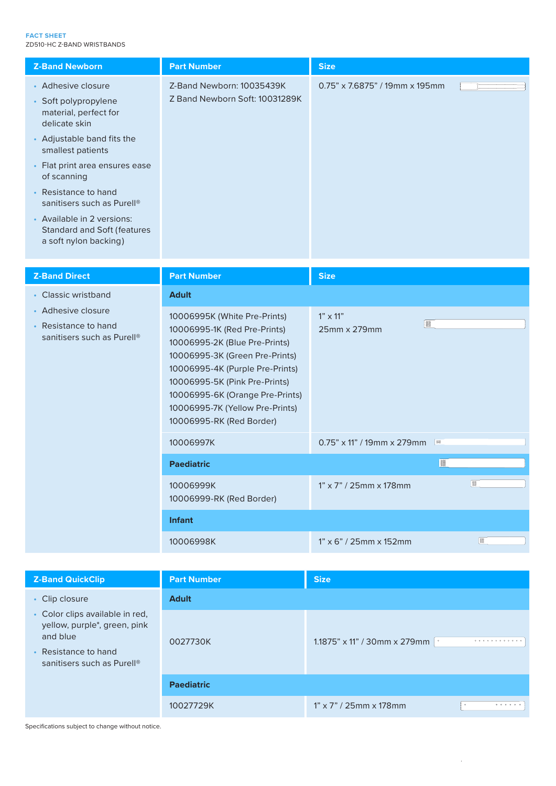#### **FACT SHEET** ZD510-HC Z-BAND WRISTBANDS

| <b>Z-Band Newborn</b>                                                                     | <b>Part Number</b>                                          | <b>Size</b>                       |  |
|-------------------------------------------------------------------------------------------|-------------------------------------------------------------|-----------------------------------|--|
| • Adhesive closure<br>• Soft polypropylene<br>material, perfect for<br>delicate skin      | Z-Band Newborn: 10035439K<br>Z Band Newborn Soft: 10031289K | $0.75$ " x 7.6875" / 19mm x 195mm |  |
| • Adjustable band fits the<br>smallest patients                                           |                                                             |                                   |  |
| • Flat print area ensures ease<br>of scanning                                             |                                                             |                                   |  |
| • Resistance to hand<br>sanitisers such as Purell <sup>®</sup>                            |                                                             |                                   |  |
| • Available in 2 versions:<br><b>Standard and Soft (features</b><br>a soft nylon backing) |                                                             |                                   |  |

| <b>Z-Band Direct</b>                                                                 | <b>Part Number</b>                                                                                                                                                                                                                                                                                    | <b>Size</b>                                 |   |
|--------------------------------------------------------------------------------------|-------------------------------------------------------------------------------------------------------------------------------------------------------------------------------------------------------------------------------------------------------------------------------------------------------|---------------------------------------------|---|
| • Classic wristband                                                                  | <b>Adult</b>                                                                                                                                                                                                                                                                                          |                                             |   |
| • Adhesive closure<br>• Resistance to hand<br>sanitisers such as Purell <sup>®</sup> | 10006995K (White Pre-Prints)<br>10006995-1K (Red Pre-Prints)<br>10006995-2K (Blue Pre-Prints)<br>10006995-3K (Green Pre-Prints)<br>10006995-4K (Purple Pre-Prints)<br>10006995-5K (Pink Pre-Prints)<br>10006995-6K (Orange Pre-Prints)<br>10006995-7K (Yellow Pre-Prints)<br>10006995-RK (Red Border) | $1" \times 11"$<br><b>I</b><br>25mm x 279mm |   |
|                                                                                      | 10006997K                                                                                                                                                                                                                                                                                             | $0.75$ " x 11" / 19mm x 279mm $\frac{1}{2}$ |   |
|                                                                                      | <b>Paediatric</b>                                                                                                                                                                                                                                                                                     |                                             | ▓ |
|                                                                                      | 10006999K<br>10006999-RK (Red Border)                                                                                                                                                                                                                                                                 | $1" \times 7" / 25$ mm x 178mm              | ■ |
|                                                                                      | <b>Infant</b>                                                                                                                                                                                                                                                                                         |                                             |   |
|                                                                                      | 10006998K                                                                                                                                                                                                                                                                                             | $1" \times 6" / 25$ mm x 152mm              | 覆 |

| <b>Z-Band QuickClip</b>                                                                                                                       | <b>Part Number</b> | <b>Size</b>                                                  |  |
|-----------------------------------------------------------------------------------------------------------------------------------------------|--------------------|--------------------------------------------------------------|--|
| • Clip closure                                                                                                                                | <b>Adult</b>       |                                                              |  |
| • Color clips available in red,<br>yellow, purple*, green, pink<br>and blue<br>• Resistance to hand<br>sanitisers such as Purell <sup>®</sup> | 0027730K           | 1.1875" x 11" / 30mm x 279mm $\cdot$<br>0.00000000000000     |  |
|                                                                                                                                               | <b>Paediatric</b>  |                                                              |  |
|                                                                                                                                               | 10027729K          | $1" \times 7" / 25$ mm x 178mm<br>0 0 0 0 0 0 0<br>$\bullet$ |  |

 $\bar{z}$ 

Specifications subject to change without notice.